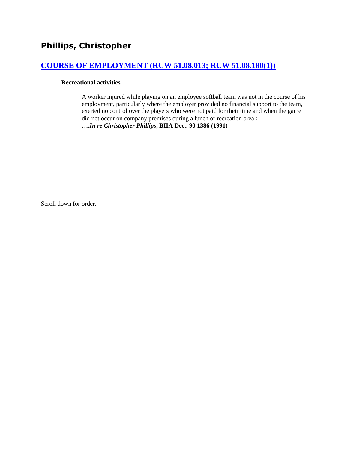# **[COURSE OF EMPLOYMENT \(RCW 51.08.013; RCW 51.08.180\(1\)\)](http://www.biia.wa.gov/SDSubjectIndex.html#COURSE_OF_EMPLOYMENT)**

#### **Recreational activities**

A worker injured while playing on an employee softball team was not in the course of his employment, particularly where the employer provided no financial support to the team, exerted no control over the players who were not paid for their time and when the game did not occur on company premises during a lunch or recreation break. **….***In re Christopher Phillips***, BIIA Dec., 90 1386 (1991)**

Scroll down for order.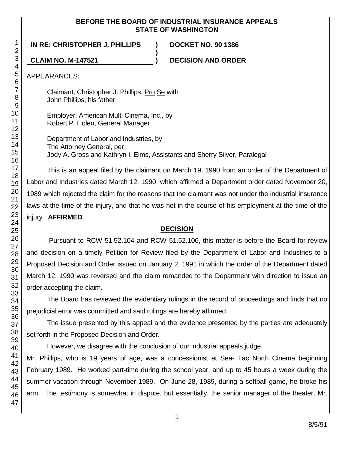#### **BEFORE THE BOARD OF INDUSTRIAL INSURANCE APPEALS STATE OF WASHINGTON**

**IN RE: CHRISTOPHER J. PHILLIPS ) DOCKET NO. 90 1386**

**CLAIM NO. M-147521 ) DECISION AND ORDER**

APPEARANCES:

Claimant, Christopher J. Phillips, Pro Se with John Phillips, his father

Employer, American Multi Cinema, Inc., by Robert P. Holen, General Manager

Department of Labor and Industries, by The Attorney General, per Jody A. Gross and Kathryn I. Eims, Assistants and Sherry Silver, Paralegal

**)**

This is an appeal filed by the claimant on March 19, 1990 from an order of the Department of Labor and Industries dated March 12, 1990, which affirmed a Department order dated November 20, 1989 which rejected the claim for the reasons that the claimant was not under the industrial insurance laws at the time of the injury, and that he was not in the course of his employment at the time of the injury. **AFFIRMED**.

# **DECISION**

Pursuant to RCW 51.52.104 and RCW 51.52.106, this matter is before the Board for review and decision on a timely Petition for Review filed by the Department of Labor and Industries to a Proposed Decision and Order issued on January 2, 1991 in which the order of the Department dated March 12, 1990 was reversed and the claim remanded to the Department with direction to issue an order accepting the claim.

The Board has reviewed the evidentiary rulings in the record of proceedings and finds that no prejudicial error was committed and said rulings are hereby affirmed.

The issue presented by this appeal and the evidence presented by the parties are adequately set forth in the Proposed Decision and Order.

However, we disagree with the conclusion of our industrial appeals judge.

Mr. Phillips, who is 19 years of age, was a concessionist at Sea- Tac North Cinema beginning February 1989. He worked part-time during the school year, and up to 45 hours a week during the summer vacation through November 1989. On June 28, 1989, during a softball game, he broke his arm. The testimony is somewhat in dispute, but essentially, the senior manager of the theater, Mr.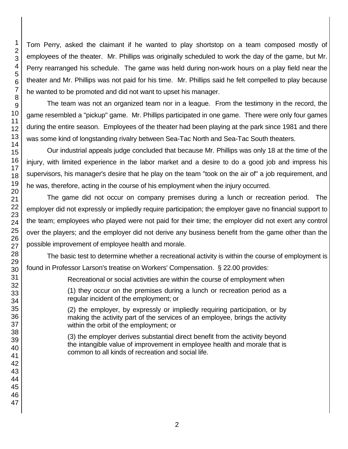Tom Perry, asked the claimant if he wanted to play shortstop on a team composed mostly of employees of the theater. Mr. Phillips was originally scheduled to work the day of the game, but Mr. Perry rearranged his schedule. The game was held during non-work hours on a play field near the theater and Mr. Phillips was not paid for his time. Mr. Phillips said he felt compelled to play because he wanted to be promoted and did not want to upset his manager.

The team was not an organized team nor in a league. From the testimony in the record, the game resembled a "pickup" game. Mr. Phillips participated in one game. There were only four games during the entire season. Employees of the theater had been playing at the park since 1981 and there was some kind of longstanding rivalry between Sea-Tac North and Sea-Tac South theaters.

Our industrial appeals judge concluded that because Mr. Phillips was only 18 at the time of the injury, with limited experience in the labor market and a desire to do a good job and impress his supervisors, his manager's desire that he play on the team "took on the air of" a job requirement, and he was, therefore, acting in the course of his employment when the injury occurred.

The game did not occur on company premises during a lunch or recreation period. The employer did not expressly or impliedly require participation; the employer gave no financial support to the team; employees who played were not paid for their time; the employer did not exert any control over the players; and the employer did not derive any business benefit from the game other than the possible improvement of employee health and morale.

The basic test to determine whether a recreational activity is within the course of employment is found in Professor Larson's treatise on Workers' Compensation. § 22.00 provides:

Recreational or social activities are within the course of employment when

(1) they occur on the premises during a lunch or recreation period as a regular incident of the employment; or

(2) the employer, by expressly or impliedly requiring participation, or by making the activity part of the services of an employee, brings the activity within the orbit of the employment; or

(3) the employer derives substantial direct benefit from the activity beyond the intangible value of improvement in employee health and morale that is common to all kinds of recreation and social life.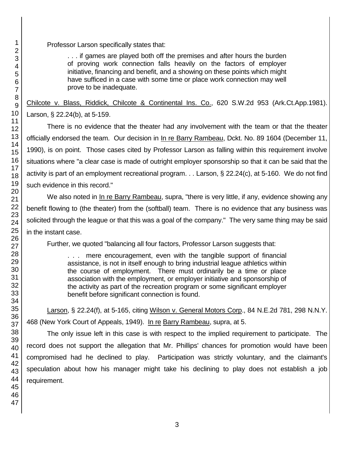Professor Larson specifically states that:

. . . if games are played both off the premises and after hours the burden of proving work connection falls heavily on the factors of employer initiative, financing and benefit, and a showing on these points which might have sufficed in a case with some time or place work connection may well prove to be inadequate.

Chilcote v. Blass, Riddick, Chilcote & Continental Ins. Co., 620 S.W.2d 953 (Ark.Ct.App.1981). Larson, § 22.24(b), at 5-159.

There is no evidence that the theater had any involvement with the team or that the theater officially endorsed the team. Our decision in In re Barry Rambeau, Dckt. No. 89 1604 (December 11, 1990), is on point. Those cases cited by Professor Larson as falling within this requirement involve situations where "a clear case is made of outright employer sponsorship so that it can be said that the activity is part of an employment recreational program. . . Larson, § 22.24(c), at 5-160. We do not find such evidence in this record."

We also noted in In re Barry Rambeau, supra, "there is very little, if any, evidence showing any benefit flowing to (the theater) from the (softball) team. There is no evidence that any business was solicited through the league or that this was a goal of the company." The very same thing may be said in the instant case.

Further, we quoted "balancing all four factors, Professor Larson suggests that:

. . . mere encouragement, even with the tangible support of financial assistance, is not in itself enough to bring industrial league athletics within the course of employment. There must ordinarily be a time or place association with the employment, or employer initiative and sponsorship of the activity as part of the recreation program or some significant employer benefit before significant connection is found.

Larson, § 22.24(f), at 5-165, citing Wilson v. General Motors Corp., 84 N.E.2d 781, 298 N.N.Y. 468 (New York Court of Appeals, 1949). In re Barry Rambeau, supra, at 5.

The only issue left in this case is with respect to the implied requirement to participate. The record does not support the allegation that Mr. Phillips' chances for promotion would have been compromised had he declined to play. Participation was strictly voluntary, and the claimant's speculation about how his manager might take his declining to play does not establish a job requirement.

1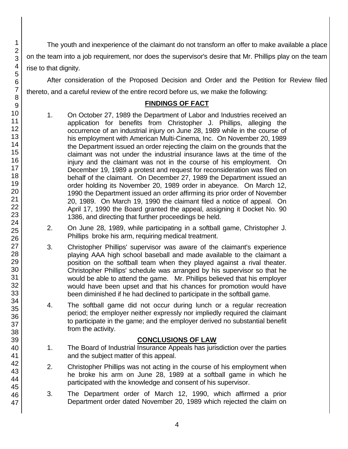The youth and inexperience of the claimant do not transform an offer to make available a place on the team into a job requirement, nor does the supervisor's desire that Mr. Phillips play on the team rise to that dignity.

After consideration of the Proposed Decision and Order and the Petition for Review filed thereto, and a careful review of the entire record before us, we make the following:

### **FINDINGS OF FACT**

- 1. On October 27, 1989 the Department of Labor and Industries received an application for benefits from Christopher J. Phillips, alleging the occurrence of an industrial injury on June 28, 1989 while in the course of his employment with American Multi-Cinema, Inc. On November 20, 1989 the Department issued an order rejecting the claim on the grounds that the claimant was not under the industrial insurance laws at the time of the injury and the claimant was not in the course of his employment. On December 19, 1989 a protest and request for reconsideration was filed on behalf of the claimant. On December 27, 1989 the Department issued an order holding its November 20, 1989 order in abeyance. On March 12, 1990 the Department issued an order affirming its prior order of November 20, 1989. On March 19, 1990 the claimant filed a notice of appeal. On April 17, 1990 the Board granted the appeal, assigning it Docket No. 90 1386, and directing that further proceedings be held.
- 2. On June 28, 1989, while participating in a softball game, Christopher J. Phillips broke his arm, requiring medical treatment.
- 3. Christopher Phillips' supervisor was aware of the claimant's experience playing AAA high school baseball and made available to the claimant a position on the softball team when they played against a rival theater. Christopher Phillips' schedule was arranged by his supervisor so that he would be able to attend the game. Mr. Phillips believed that his employer would have been upset and that his chances for promotion would have been diminished if he had declined to participate in the softball game.
- 4. The softball game did not occur during lunch or a regular recreation period; the employer neither expressly nor impliedly required the claimant to participate in the game; and the employer derived no substantial benefit from the activity.

# **CONCLUSIONS OF LAW**

- 1. The Board of Industrial Insurance Appeals has jurisdiction over the parties and the subject matter of this appeal.
- 2. Christopher Phillips was not acting in the course of his employment when he broke his arm on June 28, 1989 at a softball game in which he participated with the knowledge and consent of his supervisor.
- 3. The Department order of March 12, 1990, which affirmed a prior Department order dated November 20, 1989 which rejected the claim on